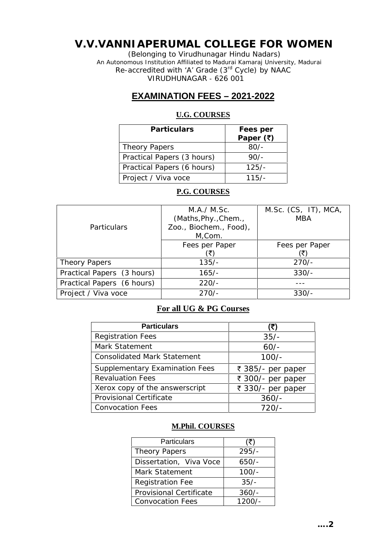# **V.V.VANNIAPERUMAL COLLEGE FOR WOMEN**

(Belonging to Virudhunagar Hindu Nadars) An Autonomous Institution Affiliated to Madurai Kamaraj University, Madurai *Re-accredited with 'A' Grade (3rd Cycle) by NAAC* VIRUDHUNAGAR - 626 001

# **EXAMINATION FEES –2021-2022**

## **U.G. COURSES**

| <b>Particulars</b>         | Fees per                        |
|----------------------------|---------------------------------|
|                            | Paper $(\overline{\mathbf{z}})$ |
| Theory Papers              | $80/$ -                         |
| Practical Papers (3 hours) | $90/$ -                         |
| Practical Papers (6 hours) | $125/-$                         |
| Project / Viva voce        | $115/-$                         |

### **P.G. COURSES**

| <b>Particulars</b>         | M.A./ M.Sc.<br>(Maths, Phy., Chem.,<br>Zoo., Biochem., Food),<br>M, Com. | M.Sc. (CS, IT), MCA,<br><b>MBA</b> |
|----------------------------|--------------------------------------------------------------------------|------------------------------------|
|                            | Fees per Paper<br>(₹)                                                    | Fees per Paper<br>(₹)              |
| Theory Papers              | $135/-$                                                                  | $270/-$                            |
| Practical Papers (3 hours) | $165/-$                                                                  | $330/-$                            |
| Practical Papers (6 hours) | $220/-$                                                                  |                                    |
| Project / Viva voce        | $270/-$                                                                  | $330/-$                            |

# **For all UG & PG Courses**

| <b>Particulars</b>                 | (₹)               |  |
|------------------------------------|-------------------|--|
| <b>Registration Fees</b>           | $35/-$            |  |
| Mark Statement                     | $60/-$            |  |
| <b>Consolidated Mark Statement</b> | $100/-$           |  |
| Supplementary Examination Fees     | ₹ 385/- per paper |  |
| <b>Revaluation Fees</b>            | ₹ 300/- per paper |  |
| Xerox copy of the answerscript     | ₹ 330/- per paper |  |
| Provisional Certificate            | $360/-$           |  |
| <b>Convocation Fees</b>            | $720/-$           |  |

#### **M.Phil. COURSES**

| <b>Particulars</b>      | (₹)      |
|-------------------------|----------|
| Theory Papers           | $295/-$  |
| Dissertation, Viva Voce | $650/-$  |
| Mark Statement          | $100/-$  |
| <b>Registration Fee</b> | $35/-$   |
| Provisional Certificate | $360/-$  |
| <b>Convocation Fees</b> | $1200/-$ |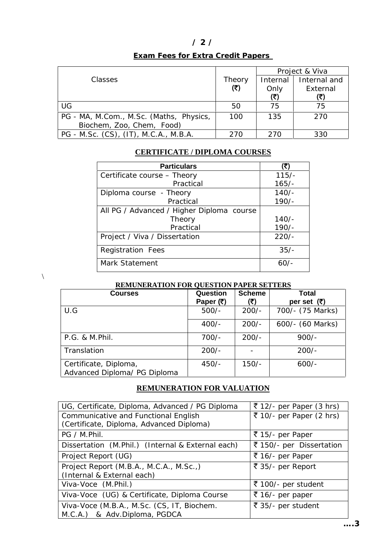| $\prime$ $\sim$<br>╯ |  |  |  |
|----------------------|--|--|--|
|                      |  |  |  |

# **Exam Fees for Extra Credit Papers**

|                                         |        |          | Project & Viva |
|-----------------------------------------|--------|----------|----------------|
| Classes                                 | Theory | Internal | Internal and   |
|                                         | (5)    | Only     | External       |
|                                         |        | (₹)      |                |
| UG                                      | 50     | 75       | 75             |
| PG - MA, M.Com., M.Sc. (Maths, Physics, | 100    | 135      | 270            |
| Biochem, Zoo, Chem, Food)               |        |          |                |
| PG - M.Sc. (CS), (IT), M.C.A., M.B.A.   | 270    | 270      | 330            |

| <b>Particulars</b>                        | (₹      |
|-------------------------------------------|---------|
| Certificate course - Theory               | $115/-$ |
| Practical                                 | $165/-$ |
| Diploma course - Theory                   | $140/-$ |
| Practical                                 | $190/-$ |
| All PG / Advanced / Higher Diploma course |         |
| Theory                                    | $140/-$ |
| Practical                                 | $190/-$ |
| Project / Viva / Dissertation             | $220/-$ |
| <b>Registration Fees</b>                  | $35/-$  |
| Mark Statement                            | 60/-    |

### **CERTIFICATE / DIPLOMA COURSES**

 $\setminus$ 

#### **REMUNERATION FOR QUESTION PAPER SETTERS**

| <b>Courses</b>                                        | Question<br>Paper $(3)$ | <b>Scheme</b><br>(₹) | <b>Total</b><br>per set $(\overline{\zeta})$ |
|-------------------------------------------------------|-------------------------|----------------------|----------------------------------------------|
| U.G                                                   | $500/-$                 | $200/-$              | 700/- (75 Marks)                             |
|                                                       | $400/-$                 | $200/-$              | 600/- (60 Marks)                             |
| P.G. & M.Phil.                                        | $700/-$                 | $200/-$              | $900/-$                                      |
| Translation                                           | $200/-$                 |                      | $200/-$                                      |
| Certificate, Diploma,<br>Advanced Diploma/ PG Diploma | $450/-$                 | $150/-$              | $600/-$                                      |

## **REMUNERATION FOR VALUATION**

| UG, Certificate, Diploma, Advanced / PG Diploma   | ₹ 12/- per Paper (3 hrs) |
|---------------------------------------------------|--------------------------|
| Communicative and Functional English              | ₹ 10/- per Paper (2 hrs) |
| (Certificate, Diploma, Advanced Diploma)          |                          |
| PG / M.Phil.                                      | ₹ 15/- per Paper         |
| Dissertation (M.Phil.) (Internal & External each) | ₹ 150/- per Dissertation |
| Project Report (UG)                               | ₹ 16/- per Paper         |
| Project Report (M.B.A., M.C.A., M.Sc.,)           | ₹ 35/- per Report        |
| (Internal & External each)                        |                          |
| Viva-Voce (M.Phil.)                               | ₹ 100/- per student      |
| Viva-Voce (UG) & Certificate, Diploma Course      | ₹ 16/- per paper         |
| Viva-Voce (M.B.A., M.Sc. (CS, IT, Biochem.        | ₹ 35/- per student       |
| M.C.A.) & Adv.Diploma, PGDCA                      |                          |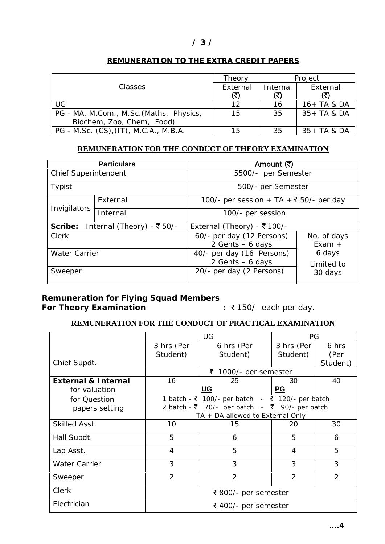## **/ 3 /**

|                                                                      | Theory          |          | Project      |
|----------------------------------------------------------------------|-----------------|----------|--------------|
| <b>Classes</b>                                                       | External<br>′₹) | Internal | External     |
| UG                                                                   | 12              | 16       | 16+ TA & DA  |
| PG - MA, M.Com., M.Sc. (Maths, Physics,<br>Biochem, Zoo, Chem, Food) | 15              | 35       | $35+TA & DA$ |
| PG - M.Sc. (CS), (IT), M.C.A., M.B.A.                                | 15              | 35       | $35+TA & DA$ |

## **REMUNERATION FOR THE CONDUCT OF THEORY EXAMINATION**

|                             | <b>Particulars</b>         | Amount (₹)                                                                |                      |  |
|-----------------------------|----------------------------|---------------------------------------------------------------------------|----------------------|--|
| <b>Chief Superintendent</b> |                            | 5500/- per Semester                                                       |                      |  |
| <b>Typist</b>               |                            | 500/- per Semester                                                        |                      |  |
|                             | External                   | 100/- per session + TA + ₹ 50/- per day                                   |                      |  |
| Invigilators                | Internal                   | 100/- per session                                                         |                      |  |
| Scribe:                     | Internal (Theory) - ₹ 50/- | External (Theory) - ₹100/-                                                |                      |  |
| Clerk                       |                            | 60/- per day (12 Persons)<br>No. of days<br>2 Gents $-6$ days<br>$Exam +$ |                      |  |
| <b>Water Carrier</b>        |                            | 40/- per day (16 Persons)<br>2 Gents $-6$ days                            | 6 days<br>Limited to |  |
| Sweeper                     |                            | 20/- per day (2 Persons)                                                  | 30 days              |  |

# **Remuneration for Flying Squad Members**

**For Theory Examination :** ` 150/- each per day.

# **REMUNERATION FOR THE CONDUCT OF PRACTICAL EXAMINATION**

|                      | UG                                                                                  |                                    | PG             |                |  |
|----------------------|-------------------------------------------------------------------------------------|------------------------------------|----------------|----------------|--|
|                      | 3 hrs (Per                                                                          | 6 hrs (Per                         | 3 hrs (Per     | 6 hrs          |  |
|                      | Student)                                                                            | Student)                           | Student)       | (Per           |  |
| Chief Supdt.         |                                                                                     |                                    |                | Student)       |  |
|                      | ₹ 1000/- per semester                                                               |                                    |                |                |  |
| External & Internal  | 16                                                                                  | 25                                 | 30             | 40             |  |
| for valuation        |                                                                                     | $\underline{\mathsf{U}\mathsf{G}}$ | PG             |                |  |
| for Question         | 1 batch - ₹ 100/- per batch - ₹ 120/- per batch                                     |                                    |                |                |  |
| papers setting       | 2 batch - ₹ 70/- per batch - ₹ 90/- per batch<br>$TA + DA$ allowed to External Only |                                    |                |                |  |
|                      |                                                                                     |                                    |                |                |  |
| Skilled Asst.        | 10                                                                                  | 15                                 | 20             | 30             |  |
| Hall Supdt.          | 5                                                                                   | 6                                  | 5              | 6              |  |
| Lab Asst.            | $\overline{4}$                                                                      | 5                                  | 4              | 5              |  |
| <b>Water Carrier</b> | 3                                                                                   | 3                                  | 3              | 3              |  |
| Sweeper              | $\overline{2}$                                                                      | $\overline{2}$                     | $\overline{2}$ | $\overline{2}$ |  |
| Clerk                | ₹800/- per semester                                                                 |                                    |                |                |  |
| Electrician          | ₹ 400/- per semester                                                                |                                    |                |                |  |